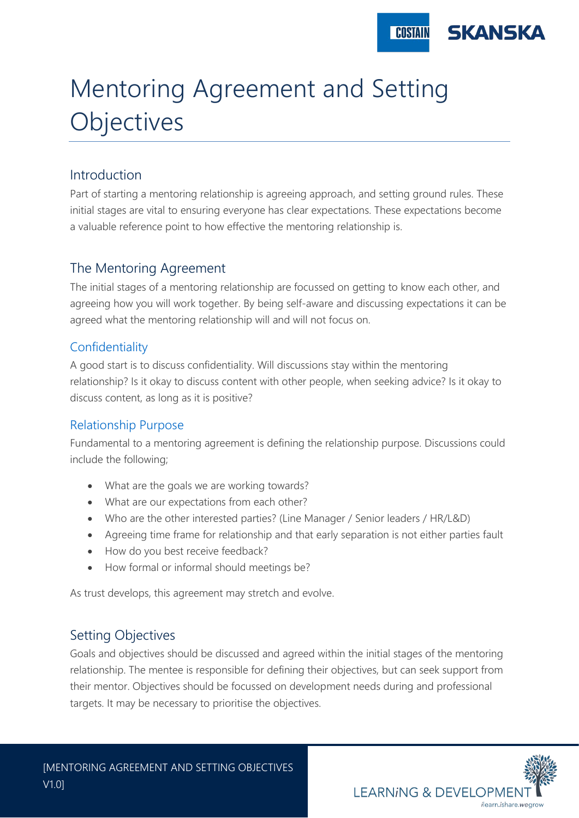

# Mentoring Agreement and Setting **Objectives**

### Introduction

Part of starting a mentoring relationship is agreeing approach, and setting ground rules. These initial stages are vital to ensuring everyone has clear expectations. These expectations become a valuable reference point to how effective the mentoring relationship is.

#### The Mentoring Agreement

The initial stages of a mentoring relationship are focussed on getting to know each other, and agreeing how you will work together. By being self-aware and discussing expectations it can be agreed what the mentoring relationship will and will not focus on.

#### Confidentiality

A good start is to discuss confidentiality. Will discussions stay within the mentoring relationship? Is it okay to discuss content with other people, when seeking advice? Is it okay to discuss content, as long as it is positive?

#### Relationship Purpose

Fundamental to a mentoring agreement is defining the relationship purpose. Discussions could include the following;

- What are the goals we are working towards?
- What are our expectations from each other?
- Who are the other interested parties? (Line Manager / Senior leaders / HR/L&D)
- Agreeing time frame for relationship and that early separation is not either parties fault
- How do you best receive feedback?
- How formal or informal should meetings be?

As trust develops, this agreement may stretch and evolve.

## Setting Objectives

Goals and objectives should be discussed and agreed within the initial stages of the mentoring relationship. The mentee is responsible for defining their objectives, but can seek support from their mentor. Objectives should be focussed on development needs during and professional targets. It may be necessary to prioritise the objectives.